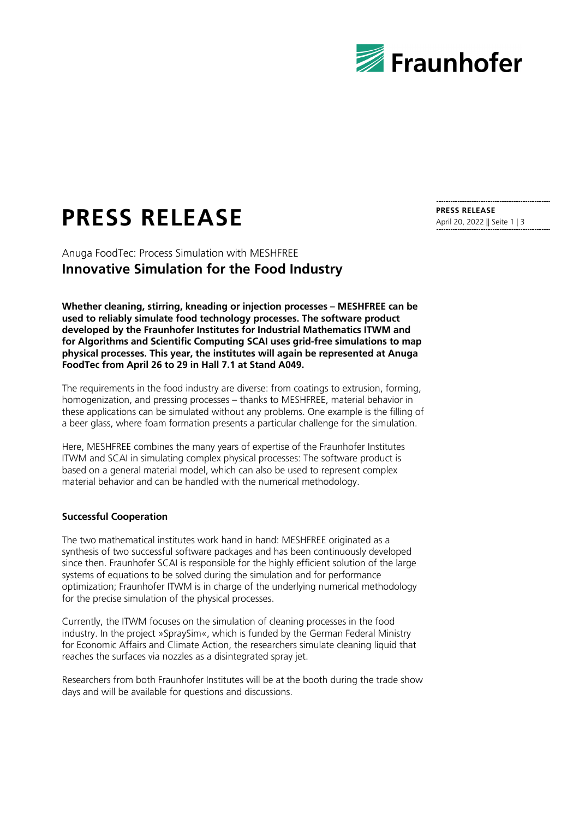

# **PRESS RELEASE PRESS RELEASE**

Anuga FoodTec: Process Simulation with MESHFREE **Innovative Simulation for the Food Industry**

**Whether cleaning, stirring, kneading or injection processes – MESHFREE can be used to reliably simulate food technology processes. The software product developed by the Fraunhofer Institutes for Industrial Mathematics ITWM and for Algorithms and Scientific Computing SCAI uses grid-free simulations to map physical processes. This year, the institutes will again be represented at Anuga FoodTec from April 26 to 29 in Hall 7.1 at Stand A049.**

The requirements in the food industry are diverse: from coatings to extrusion, forming, homogenization, and pressing processes – thanks to MESHFREE, material behavior in these applications can be simulated without any problems. One example is the filling of a beer glass, where foam formation presents a particular challenge for the simulation.

Here, MESHFREE combines the many years of expertise of the Fraunhofer Institutes ITWM and SCAI in simulating complex physical processes: The software product is based on a general material model, which can also be used to represent complex material behavior and can be handled with the numerical methodology.

### **Successful Cooperation**

The two mathematical institutes work hand in hand: MESHFREE originated as a synthesis of two successful software packages and has been continuously developed since then. Fraunhofer SCAI is responsible for the highly efficient solution of the large systems of equations to be solved during the simulation and for performance optimization; Fraunhofer ITWM is in charge of the underlying numerical methodology for the precise simulation of the physical processes.

Currently, the ITWM focuses on the simulation of cleaning processes in the food industry. In the project »SpraySim«, which is funded by the German Federal Ministry for Economic Affairs and Climate Action, the researchers simulate cleaning liquid that reaches the surfaces via nozzles as a disintegrated spray jet.

Researchers from both Fraunhofer Institutes will be at the booth during the trade show days and will be available for questions and discussions.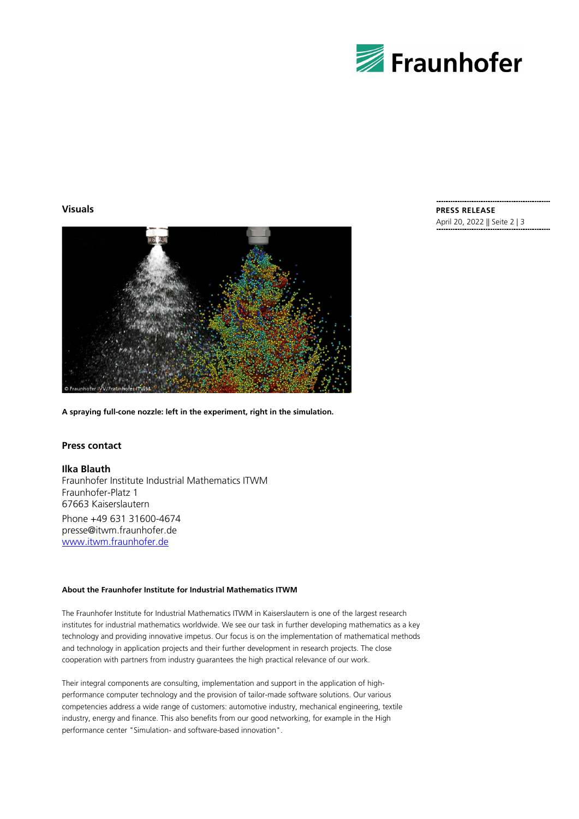

# **Visuals**



**A spraying full-cone nozzle: left in the experiment, right in the simulation.**

## **Press contact**

**Ilka Blauth** Fraunhofer Institute Industrial Mathematics ITWM Fraunhofer-Platz 1 67663 Kaiserslautern Phone +49 631 31600-4674 presse@itwm.fraunhofer.de [www.itwm.fraunhofer.de](http://www.itwm.fraunhofer.de/)

#### **About the Fraunhofer Institute for Industrial Mathematics ITWM**

The Fraunhofer Institute for Industrial Mathematics ITWM in Kaiserslautern is one of the largest research institutes for industrial mathematics worldwide. We see our task in further developing mathematics as a key technology and providing innovative impetus. Our focus is on the implementation of mathematical methods and technology in application projects and their further development in research projects. The close cooperation with partners from industry guarantees the high practical relevance of our work.

Their integral components are consulting, implementation and support in the application of highperformance computer technology and the provision of tailor-made software solutions. Our various competencies address a wide range of customers: automotive industry, mechanical engineering, textile industry, energy and finance. This also benefits from our good networking, for example in the High performance center "Simulation- and software-based innovation".

# **PRESS RELEASE**

April 20, 2022 || Seite 2 | 3